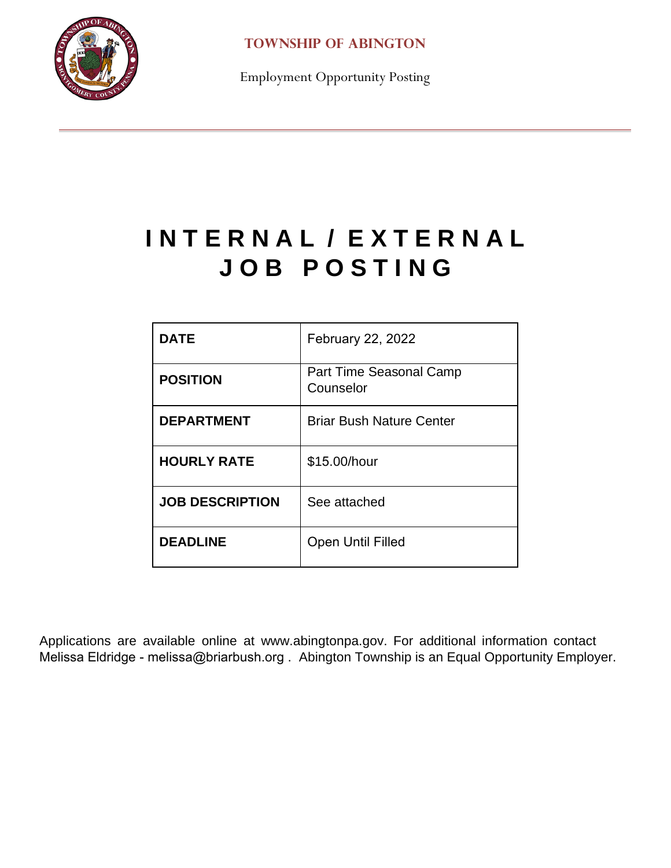

**TOWNSHIP OF ABINGTON**

Employment Opportunity Posting

## **I N T E R N A L / E X T E R N A L J O B P O S T I N G**

| DATE                   | <b>February 22, 2022</b>             |
|------------------------|--------------------------------------|
| <b>POSITION</b>        | Part Time Seasonal Camp<br>Counselor |
| <b>DEPARTMENT</b>      | <b>Briar Bush Nature Center</b>      |
| <b>HOURLY RATE</b>     | \$15.00/hour                         |
| <b>JOB DESCRIPTION</b> | See attached                         |
| <b>DEADLINE</b>        | <b>Open Until Filled</b>             |

Applications are available online at www.abingtonpa.gov. For additional information contact Melissa Eldridge - melissa@briarbush.org . Abington Township is an Equal Opportunity Employer.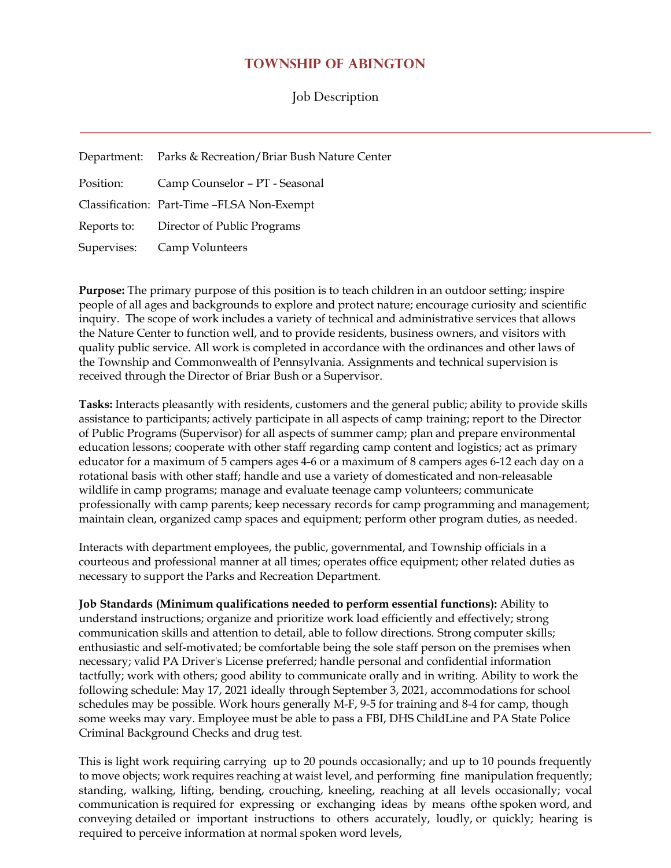## **TOWNSHIP OF ABINGTON**

Job Description

| Department: Parks & Recreation/Briar Bush Nature Center |
|---------------------------------------------------------|
| Position: Camp Counselor - PT - Seasonal                |
| Classification: Part-Time -FLSA Non-Exempt              |
| Reports to: Director of Public Programs                 |
| Supervises: Camp Volunteers                             |

**Purpose:** The primary purpose of this position is to teach children in an outdoor setting; inspire people of all ages and backgrounds to explore and protect nature; encourage curiosity and scientific inquiry. The scope of work includes a variety of technical and administrative services that allows the Nature Center to function well, and to provide residents, business owners, and visitors with quality public service. All work is completed in accordance with the ordinances and other laws of the Township and Commonwealth of Pennsylvania. Assignments and technical supervision is received through the Director of Briar Bush or a Supervisor.

**Tasks:** Interacts pleasantly with residents, customers and the general public; ability to provide skills assistance to participants; actively participate in all aspects of camp training; report to the Director of Public Programs (Supervisor) for all aspects of summer camp; plan and prepare environmental education lessons; cooperate with other staff regarding camp content and logistics; act as primary educator for a maximum of 5 campers ages 4-6 or a maximum of 8 campers ages 6-12 each day on a rotational basis with other staff; handle and use a variety of domesticated and non-releasable wildlife in camp programs; manage and evaluate teenage camp volunteers; communicate professionally with camp parents; keep necessary records for camp programming and management; maintain clean, organized camp spaces and equipment; perform other program duties, as needed.

Interacts with department employees, the public, governmental, and Township officials in a courteous and professional manner at all times; operates office equipment; other related duties as necessary to support the Parks and Recreation Department.

**Job Standards (Minimum qualifications needed to perform essential functions):** Ability to understand instructions; organize and prioritize work load efficiently and effectively; strong communication skills and attention to detail, able to follow directions. Strong computer skills; enthusiastic and self-motivated; be comfortable being the sole staff person on the premises when necessary; valid PA Driver's License preferred; handle personal and confidential information tactfully; work with others; good ability to communicate orally and in writing. Ability to work the following schedule: May 17, 2021 ideally through September 3, 2021, accommodations for school schedules may be possible. Work hours generally M-F, 9-5 for training and 8-4 for camp, though some weeks may vary. Employee must be able to pass a FBI, DHS ChildLine and PA State Police Criminal Background Checks and drug test.

This is light work requiring carrying up to 20 pounds occasionally; and up to 10 pounds frequently to move objects; work requires reaching at waist level, and performing fine manipulation frequently; standing, walking, lifting, bending, crouching, kneeling, reaching at all levels occasionally; vocal communication is required for expressing or exchanging ideas by means ofthe spoken word, and conveying detailed or important instructions to others accurately, loudly, or quickly; hearing is required to perceive information at normal spoken word levels,